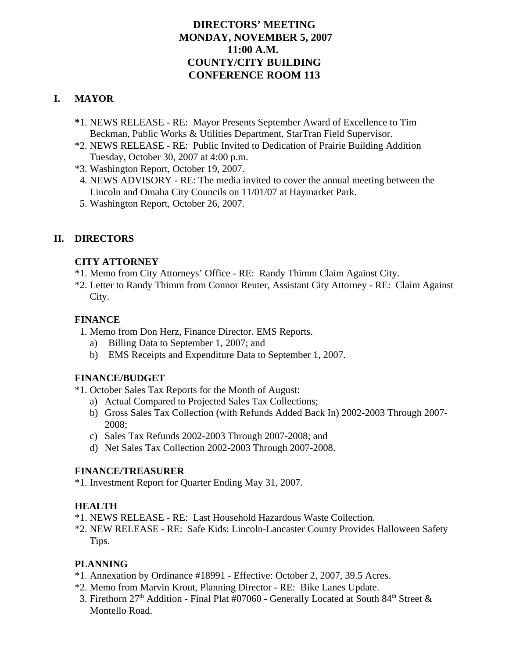# **DIRECTORS' MEETING MONDAY, NOVEMBER 5, 2007 11:00 A.M. COUNTY/CITY BUILDING CONFERENCE ROOM 113**

# **I. MAYOR**

- **\***1. NEWS RELEASE RE: Mayor Presents September Award of Excellence to Tim Beckman, Public Works & Utilities Department, StarTran Field Supervisor.
- \*2. NEWS RELEASE RE: Public Invited to Dedication of Prairie Building Addition Tuesday, October 30, 2007 at 4:00 p.m.
- \*3. Washington Report, October 19, 2007.
- 4. NEWS ADVISORY RE: The media invited to cover the annual meeting between the Lincoln and Omaha City Councils on 11/01/07 at Haymarket Park.
- 5. Washington Report, October 26, 2007.

# **II. DIRECTORS**

## **CITY ATTORNEY**

- \*1. Memo from City Attorneys' Office RE: Randy Thimm Claim Against City.
- \*2. Letter to Randy Thimm from Connor Reuter, Assistant City Attorney RE: Claim Against City.

# **FINANCE**

- 1. Memo from Don Herz, Finance Director. EMS Reports.
	- a) Billing Data to September 1, 2007; and
	- b) EMS Receipts and Expenditure Data to September 1, 2007.

# **FINANCE/BUDGET**

- \*1. October Sales Tax Reports for the Month of August:
	- a) Actual Compared to Projected Sales Tax Collections;
	- b) Gross Sales Tax Collection (with Refunds Added Back In) 2002-2003 Through 2007- 2008;
	- c) Sales Tax Refunds 2002-2003 Through 2007-2008; and
	- d) Net Sales Tax Collection 2002-2003 Through 2007-2008.

# **FINANCE/TREASURER**

\*1. Investment Report for Quarter Ending May 31, 2007.

# **HEALTH**

- \*1. NEWS RELEASE RE: Last Household Hazardous Waste Collection.
- \*2. NEW RELEASE RE: Safe Kids: Lincoln-Lancaster County Provides Halloween Safety Tips.

# **PLANNING**

- \*1. Annexation by Ordinance #18991 Effective: October 2, 2007, 39.5 Acres.
- \*2. Memo from Marvin Krout, Planning Director RE: Bike Lanes Update.
- 3. Firethorn  $27<sup>th</sup>$  Addition Final Plat #07060 Generally Located at South 84<sup>th</sup> Street  $\&$ Montello Road.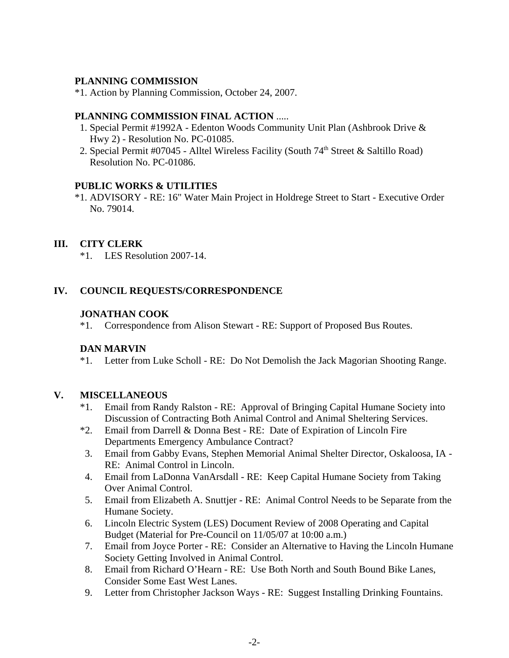## **PLANNING COMMISSION**

\*1. Action by Planning Commission, October 24, 2007.

#### **PLANNING COMMISSION FINAL ACTION** .....

- 1. Special Permit #1992A Edenton Woods Community Unit Plan (Ashbrook Drive & Hwy 2) - Resolution No. PC-01085.
- 2. Special Permit #07045 Alltel Wireless Facility (South  $74<sup>th</sup>$  Street & Saltillo Road) Resolution No. PC-01086.

### **PUBLIC WORKS & UTILITIES**

\*1. ADVISORY - RE: 16" Water Main Project in Holdrege Street to Start - Executive Order No. 79014.

# **III. CITY CLERK**

\*1. LES Resolution 2007-14.

## **IV. COUNCIL REQUESTS/CORRESPONDENCE**

### **JONATHAN COOK**

\*1. Correspondence from Alison Stewart - RE: Support of Proposed Bus Routes.

## **DAN MARVIN**

\*1. Letter from Luke Scholl - RE: Do Not Demolish the Jack Magorian Shooting Range.

## **V. MISCELLANEOUS**

- \*1. Email from Randy Ralston RE: Approval of Bringing Capital Humane Society into Discussion of Contracting Both Animal Control and Animal Sheltering Services.
- \*2. Email from Darrell & Donna Best RE: Date of Expiration of Lincoln Fire Departments Emergency Ambulance Contract?
- 3. Email from Gabby Evans, Stephen Memorial Animal Shelter Director, Oskaloosa, IA RE: Animal Control in Lincoln.
- 4. Email from LaDonna VanArsdall RE: Keep Capital Humane Society from Taking Over Animal Control.
- 5. Email from Elizabeth A. Snuttjer RE: Animal Control Needs to be Separate from the Humane Society.
- 6. Lincoln Electric System (LES) Document Review of 2008 Operating and Capital Budget (Material for Pre-Council on 11/05/07 at 10:00 a.m.)
- 7. Email from Joyce Porter RE: Consider an Alternative to Having the Lincoln Humane Society Getting Involved in Animal Control.
- 8. Email from Richard O'Hearn RE: Use Both North and South Bound Bike Lanes, Consider Some East West Lanes.
- 9. Letter from Christopher Jackson Ways RE: Suggest Installing Drinking Fountains.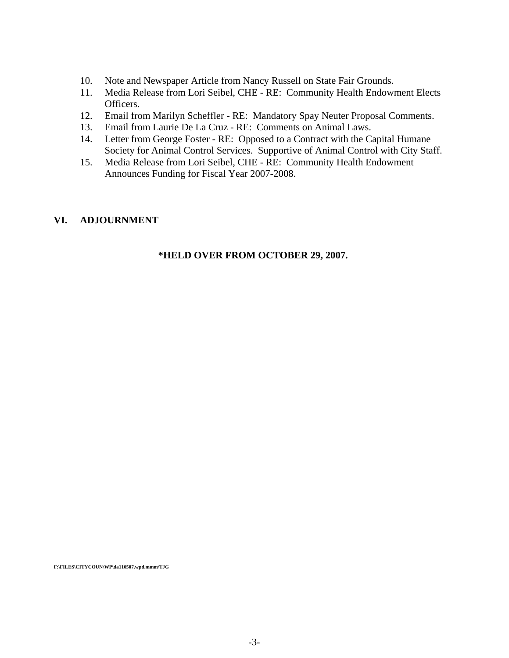- 10. Note and Newspaper Article from Nancy Russell on State Fair Grounds.
- 11. Media Release from Lori Seibel, CHE RE: Community Health Endowment Elects Officers.
- 12. Email from Marilyn Scheffler RE: Mandatory Spay Neuter Proposal Comments.
- 13. Email from Laurie De La Cruz RE: Comments on Animal Laws.
- 14. Letter from George Foster RE: Opposed to a Contract with the Capital Humane Society for Animal Control Services. Supportive of Animal Control with City Staff.
- 15. Media Release from Lori Seibel, CHE RE: Community Health Endowment Announces Funding for Fiscal Year 2007-2008.

#### **VI. ADJOURNMENT**

#### **\*HELD OVER FROM OCTOBER 29, 2007.**

**F:\FILES\CITYCOUN\WP\da110507.wpd.mmm/TJG**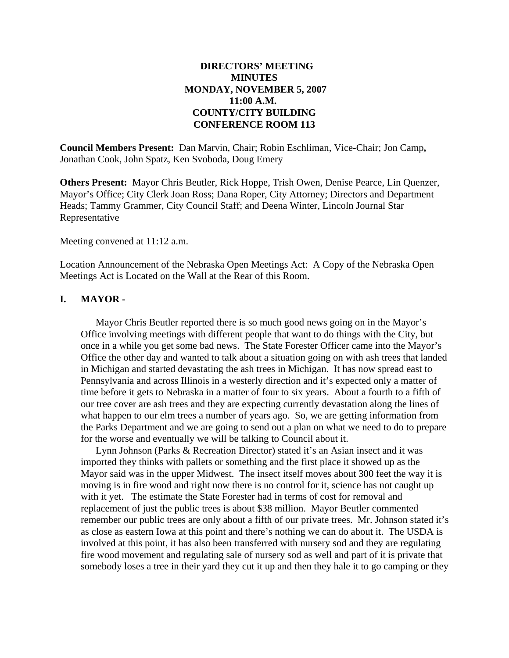### **DIRECTORS' MEETING MINUTES MONDAY, NOVEMBER 5, 2007 11:00 A.M. COUNTY/CITY BUILDING CONFERENCE ROOM 113**

**Council Members Present:** Dan Marvin, Chair; Robin Eschliman, Vice-Chair; Jon Camp**,** Jonathan Cook, John Spatz, Ken Svoboda, Doug Emery

**Others Present:** Mayor Chris Beutler, Rick Hoppe, Trish Owen, Denise Pearce, Lin Quenzer, Mayor's Office; City Clerk Joan Ross; Dana Roper, City Attorney; Directors and Department Heads; Tammy Grammer, City Council Staff; and Deena Winter, Lincoln Journal Star Representative

Meeting convened at 11:12 a.m.

Location Announcement of the Nebraska Open Meetings Act: A Copy of the Nebraska Open Meetings Act is Located on the Wall at the Rear of this Room.

#### **I. MAYOR -**

Mayor Chris Beutler reported there is so much good news going on in the Mayor's Office involving meetings with different people that want to do things with the City, but once in a while you get some bad news. The State Forester Officer came into the Mayor's Office the other day and wanted to talk about a situation going on with ash trees that landed in Michigan and started devastating the ash trees in Michigan. It has now spread east to Pennsylvania and across Illinois in a westerly direction and it's expected only a matter of time before it gets to Nebraska in a matter of four to six years. About a fourth to a fifth of our tree cover are ash trees and they are expecting currently devastation along the lines of what happen to our elm trees a number of years ago. So, we are getting information from the Parks Department and we are going to send out a plan on what we need to do to prepare for the worse and eventually we will be talking to Council about it.

Lynn Johnson (Parks & Recreation Director) stated it's an Asian insect and it was imported they thinks with pallets or something and the first place it showed up as the Mayor said was in the upper Midwest. The insect itself moves about 300 feet the way it is moving is in fire wood and right now there is no control for it, science has not caught up with it yet. The estimate the State Forester had in terms of cost for removal and replacement of just the public trees is about \$38 million. Mayor Beutler commented remember our public trees are only about a fifth of our private trees. Mr. Johnson stated it's as close as eastern Iowa at this point and there's nothing we can do about it. The USDA is involved at this point, it has also been transferred with nursery sod and they are regulating fire wood movement and regulating sale of nursery sod as well and part of it is private that somebody loses a tree in their yard they cut it up and then they hale it to go camping or they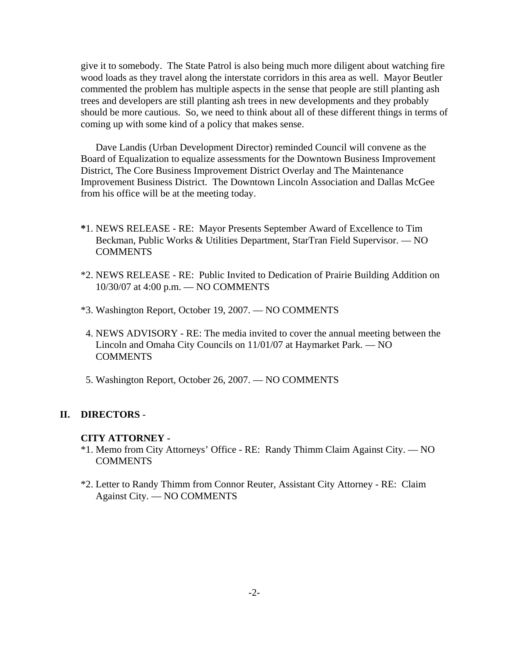give it to somebody. The State Patrol is also being much more diligent about watching fire wood loads as they travel along the interstate corridors in this area as well. Mayor Beutler commented the problem has multiple aspects in the sense that people are still planting ash trees and developers are still planting ash trees in new developments and they probably should be more cautious. So, we need to think about all of these different things in terms of coming up with some kind of a policy that makes sense.

Dave Landis (Urban Development Director) reminded Council will convene as the Board of Equalization to equalize assessments for the Downtown Business Improvement District, The Core Business Improvement District Overlay and The Maintenance Improvement Business District. The Downtown Lincoln Association and Dallas McGee from his office will be at the meeting today.

- **\***1. NEWS RELEASE RE: Mayor Presents September Award of Excellence to Tim Beckman, Public Works & Utilities Department, StarTran Field Supervisor. — NO **COMMENTS**
- \*2. NEWS RELEASE RE: Public Invited to Dedication of Prairie Building Addition on 10/30/07 at 4:00 p.m. — NO COMMENTS
- \*3. Washington Report, October 19, 2007. NO COMMENTS
- 4. NEWS ADVISORY RE: The media invited to cover the annual meeting between the Lincoln and Omaha City Councils on 11/01/07 at Haymarket Park. — NO **COMMENTS**
- 5. Washington Report, October 26, 2007. NO COMMENTS

#### **II. DIRECTORS** -

#### **CITY ATTORNEY -**

- \*1. Memo from City Attorneys' Office RE: Randy Thimm Claim Against City. NO COMMENTS
- \*2. Letter to Randy Thimm from Connor Reuter, Assistant City Attorney RE: Claim Against City. — NO COMMENTS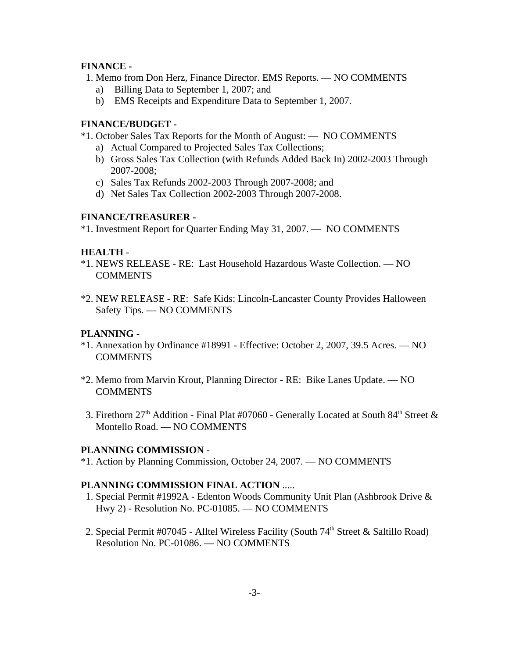#### **FINANCE -**

- 1. Memo from Don Herz, Finance Director. EMS Reports. NO COMMENTS
	- a) Billing Data to September 1, 2007; and
	- b) EMS Receipts and Expenditure Data to September 1, 2007.

### **FINANCE/BUDGET -**

- \*1. October Sales Tax Reports for the Month of August: NO COMMENTS
	- a) Actual Compared to Projected Sales Tax Collections;
	- b) Gross Sales Tax Collection (with Refunds Added Back In) 2002-2003 Through 2007-2008;
	- c) Sales Tax Refunds 2002-2003 Through 2007-2008; and
	- d) Net Sales Tax Collection 2002-2003 Through 2007-2008.

### **FINANCE/TREASURER -**

\*1. Investment Report for Quarter Ending May 31, 2007. — NO COMMENTS

## **HEALTH** -

- \*1. NEWS RELEASE RE: Last Household Hazardous Waste Collection. NO COMMENTS
- \*2. NEW RELEASE RE: Safe Kids: Lincoln-Lancaster County Provides Halloween Safety Tips. — NO COMMENTS

## **PLANNING** -

- \*1. Annexation by Ordinance #18991 Effective: October 2, 2007, 39.5 Acres. NO COMMENTS
- \*2. Memo from Marvin Krout, Planning Director RE: Bike Lanes Update. NO **COMMENTS**
- 3. Firethorn 27<sup>th</sup> Addition Final Plat #07060 Generally Located at South 84<sup>th</sup> Street & Montello Road. — NO COMMENTS

## **PLANNING COMMISSION** -

\*1. Action by Planning Commission, October 24, 2007. — NO COMMENTS

## **PLANNING COMMISSION FINAL ACTION** .....

- 1. Special Permit #1992A Edenton Woods Community Unit Plan (Ashbrook Drive & Hwy 2) - Resolution No. PC-01085. — NO COMMENTS
- 2. Special Permit #07045 Alltel Wireless Facility (South 74<sup>th</sup> Street & Saltillo Road) Resolution No. PC-01086. — NO COMMENTS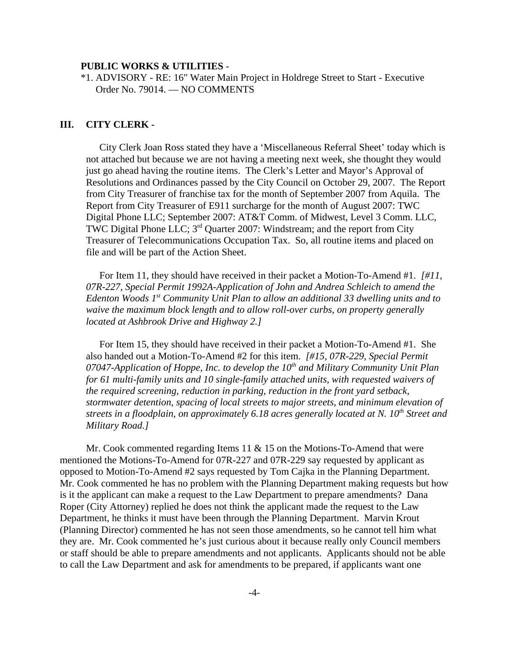#### **PUBLIC WORKS & UTILITIES** -

\*1. ADVISORY - RE: 16" Water Main Project in Holdrege Street to Start - Executive Order No. 79014. — NO COMMENTS

#### **III. CITY CLERK -**

City Clerk Joan Ross stated they have a 'Miscellaneous Referral Sheet' today which is not attached but because we are not having a meeting next week, she thought they would just go ahead having the routine items. The Clerk's Letter and Mayor's Approval of Resolutions and Ordinances passed by the City Council on October 29, 2007. The Report from City Treasurer of franchise tax for the month of September 2007 from Aquila. The Report from City Treasurer of E911 surcharge for the month of August 2007: TWC Digital Phone LLC; September 2007: AT&T Comm. of Midwest, Level 3 Comm. LLC, TWC Digital Phone LLC;  $3<sup>rd</sup>$  Quarter 2007: Windstream; and the report from City Treasurer of Telecommunications Occupation Tax. So, all routine items and placed on file and will be part of the Action Sheet.

For Item 11, they should have received in their packet a Motion-To-Amend #1. *[#11, 07R-227, Special Permit 1992A-Application of John and Andrea Schleich to amend the Edenton Woods 1st Community Unit Plan to allow an additional 33 dwelling units and to waive the maximum block length and to allow roll-over curbs, on property generally located at Ashbrook Drive and Highway 2.]* 

For Item 15, they should have received in their packet a Motion-To-Amend #1. She also handed out a Motion-To-Amend #2 for this item. *[#15, 07R-229, Special Permit* 07047-Application of Hoppe, Inc. to develop the 10<sup>th</sup> and Military Community Unit Plan *for 61 multi-family units and 10 single-family attached units, with requested waivers of the required screening, reduction in parking, reduction in the front yard setback, stormwater detention, spacing of local streets to major streets, and minimum elevation of streets in a floodplain, on approximately 6.18 acres generally located at N. 10<sup>th</sup> Street and Military Road.]* 

Mr. Cook commented regarding Items 11  $\&$  15 on the Motions-To-Amend that were mentioned the Motions-To-Amend for 07R-227 and 07R-229 say requested by applicant as opposed to Motion-To-Amend #2 says requested by Tom Cajka in the Planning Department. Mr. Cook commented he has no problem with the Planning Department making requests but how is it the applicant can make a request to the Law Department to prepare amendments? Dana Roper (City Attorney) replied he does not think the applicant made the request to the Law Department, he thinks it must have been through the Planning Department. Marvin Krout (Planning Director) commented he has not seen those amendments, so he cannot tell him what they are. Mr. Cook commented he's just curious about it because really only Council members or staff should be able to prepare amendments and not applicants. Applicants should not be able to call the Law Department and ask for amendments to be prepared, if applicants want one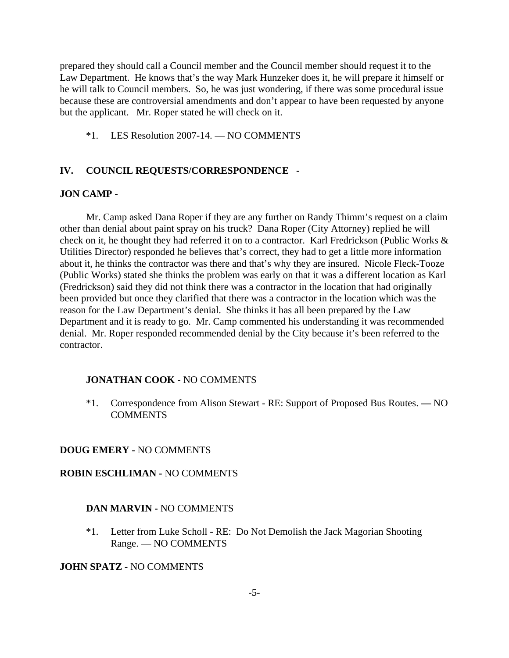prepared they should call a Council member and the Council member should request it to the Law Department. He knows that's the way Mark Hunzeker does it, he will prepare it himself or he will talk to Council members. So, he was just wondering, if there was some procedural issue because these are controversial amendments and don't appear to have been requested by anyone but the applicant. Mr. Roper stated he will check on it.

\*1. LES Resolution 2007-14. — NO COMMENTS

#### **IV. COUNCIL REQUESTS/CORRESPONDENCE -**

#### **JON CAMP -**

Mr. Camp asked Dana Roper if they are any further on Randy Thimm's request on a claim other than denial about paint spray on his truck? Dana Roper (City Attorney) replied he will check on it, he thought they had referred it on to a contractor. Karl Fredrickson (Public Works & Utilities Director) responded he believes that's correct, they had to get a little more information about it, he thinks the contractor was there and that's why they are insured. Nicole Fleck-Tooze (Public Works) stated she thinks the problem was early on that it was a different location as Karl (Fredrickson) said they did not think there was a contractor in the location that had originally been provided but once they clarified that there was a contractor in the location which was the reason for the Law Department's denial. She thinks it has all been prepared by the Law Department and it is ready to go. Mr. Camp commented his understanding it was recommended denial. Mr. Roper responded recommended denial by the City because it's been referred to the contractor.

#### **JONATHAN COOK** - NO COMMENTS

\*1. Correspondence from Alison Stewart - RE: Support of Proposed Bus Routes. **—** NO COMMENTS

#### **DOUG EMERY -** NO COMMENTS

#### **ROBIN ESCHLIMAN -** NO COMMENTS

#### **DAN MARVIN -** NO COMMENTS

\*1. Letter from Luke Scholl - RE: Do Not Demolish the Jack Magorian Shooting Range. — NO COMMENTS

#### **JOHN SPATZ -** NO COMMENTS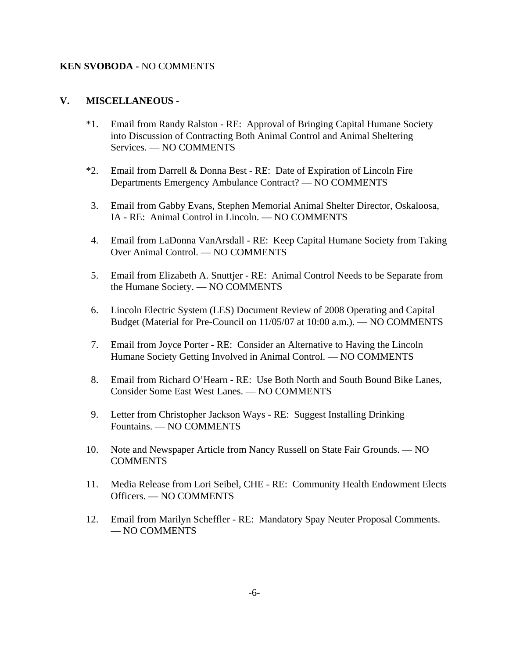#### **KEN SVOBODA -** NO COMMENTS

### **V. MISCELLANEOUS -**

- \*1. Email from Randy Ralston RE: Approval of Bringing Capital Humane Society into Discussion of Contracting Both Animal Control and Animal Sheltering Services. — NO COMMENTS
- \*2. Email from Darrell & Donna Best RE: Date of Expiration of Lincoln Fire Departments Emergency Ambulance Contract? — NO COMMENTS
- 3. Email from Gabby Evans, Stephen Memorial Animal Shelter Director, Oskaloosa, IA - RE: Animal Control in Lincoln. — NO COMMENTS
- 4. Email from LaDonna VanArsdall RE: Keep Capital Humane Society from Taking Over Animal Control. — NO COMMENTS
- 5. Email from Elizabeth A. Snuttjer RE: Animal Control Needs to be Separate from the Humane Society. — NO COMMENTS
- 6. Lincoln Electric System (LES) Document Review of 2008 Operating and Capital Budget (Material for Pre-Council on 11/05/07 at 10:00 a.m.). — NO COMMENTS
- 7. Email from Joyce Porter RE: Consider an Alternative to Having the Lincoln Humane Society Getting Involved in Animal Control. — NO COMMENTS
- 8. Email from Richard O'Hearn RE: Use Both North and South Bound Bike Lanes, Consider Some East West Lanes. — NO COMMENTS
- 9. Letter from Christopher Jackson Ways RE: Suggest Installing Drinking Fountains. — NO COMMENTS
- 10. Note and Newspaper Article from Nancy Russell on State Fair Grounds. NO COMMENTS
- 11. Media Release from Lori Seibel, CHE RE: Community Health Endowment Elects Officers. — NO COMMENTS
- 12. Email from Marilyn Scheffler RE: Mandatory Spay Neuter Proposal Comments. — NO COMMENTS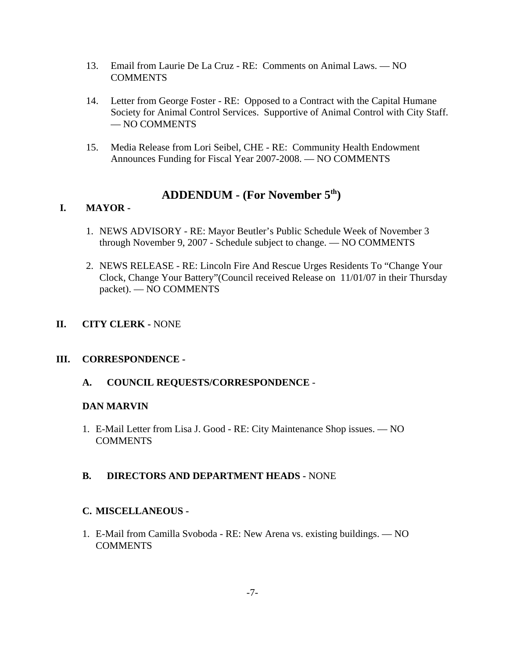- 13. Email from Laurie De La Cruz RE: Comments on Animal Laws. NO **COMMENTS**
- 14. Letter from George Foster RE: Opposed to a Contract with the Capital Humane Society for Animal Control Services. Supportive of Animal Control with City Staff. — NO COMMENTS
- 15. Media Release from Lori Seibel, CHE RE: Community Health Endowment Announces Funding for Fiscal Year 2007-2008. — NO COMMENTS

# **ADDENDUM - (For November 5th)**

# **I. MAYOR -**

- 1. NEWS ADVISORY RE: Mayor Beutler's Public Schedule Week of November 3 through November 9, 2007 - Schedule subject to change. — NO COMMENTS
- 2. NEWS RELEASE RE: Lincoln Fire And Rescue Urges Residents To "Change Your Clock, Change Your Battery"(Council received Release on 11/01/07 in their Thursday packet). — NO COMMENTS
- **II. CITY CLERK -** NONE

## **III. CORRESPONDENCE -**

**A. COUNCIL REQUESTS/CORRESPONDENCE** -

## **DAN MARVIN**

1. E-Mail Letter from Lisa J. Good - RE: City Maintenance Shop issues. — NO COMMENTS

## **B. DIRECTORS AND DEPARTMENT HEADS -** NONE

## **C. MISCELLANEOUS -**

1. E-Mail from Camilla Svoboda - RE: New Arena vs. existing buildings. — NO **COMMENTS**